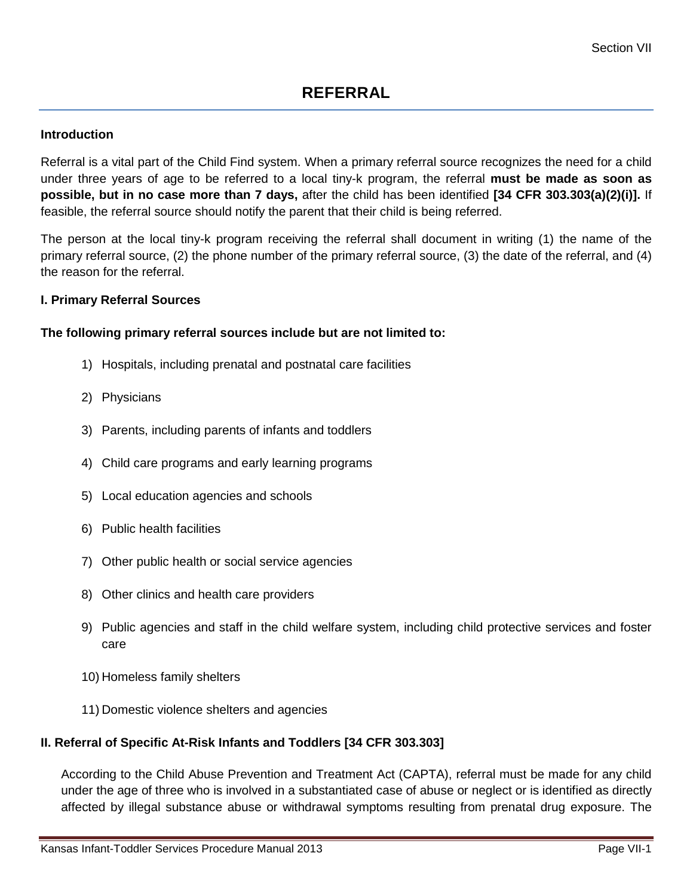#### **Introduction**

Referral is a vital part of the Child Find system. When a primary referral source recognizes the need for a child under three years of age to be referred to a local tiny-k program, the referral **must be made as soon as possible, but in no case more than 7 days,** after the child has been identified **[34 CFR 303.303(a)(2)(i)].** If feasible, the referral source should notify the parent that their child is being referred.

The person at the local tiny-k program receiving the referral shall document in writing (1) the name of the primary referral source, (2) the phone number of the primary referral source, (3) the date of the referral, and (4) the reason for the referral.

#### **I. Primary Referral Sources**

#### **The following primary referral sources include but are not limited to:**

- 1) Hospitals, including prenatal and postnatal care facilities
- 2) Physicians
- 3) Parents, including parents of infants and toddlers
- 4) Child care programs and early learning programs
- 5) Local education agencies and schools
- 6) Public health facilities
- 7) Other public health or social service agencies
- 8) Other clinics and health care providers
- 9) Public agencies and staff in the child welfare system, including child protective services and foster care
- 10) Homeless family shelters
- 11) Domestic violence shelters and agencies

#### **II. Referral of Specific At-Risk Infants and Toddlers [34 CFR 303.303]**

According to the Child Abuse Prevention and Treatment Act (CAPTA), referral must be made for any child under the age of three who is involved in a substantiated case of abuse or neglect or is identified as directly affected by illegal substance abuse or withdrawal symptoms resulting from prenatal drug exposure. The